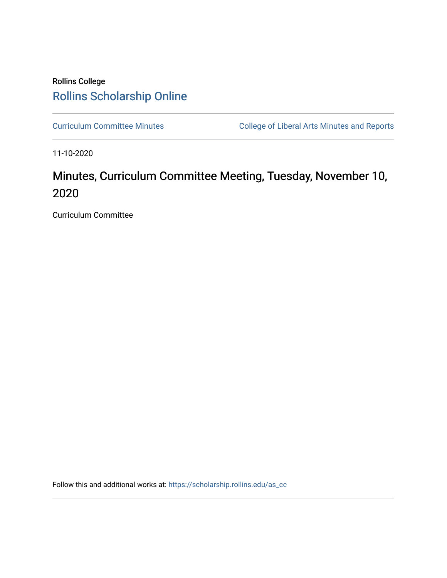# Rollins College [Rollins Scholarship Online](https://scholarship.rollins.edu/)

[Curriculum Committee Minutes](https://scholarship.rollins.edu/as_cc) **College of Liberal Arts Minutes and Reports** 

11-10-2020

# Minutes, Curriculum Committee Meeting, Tuesday, November 10, 2020

Curriculum Committee

Follow this and additional works at: [https://scholarship.rollins.edu/as\\_cc](https://scholarship.rollins.edu/as_cc?utm_source=scholarship.rollins.edu%2Fas_cc%2F84&utm_medium=PDF&utm_campaign=PDFCoverPages)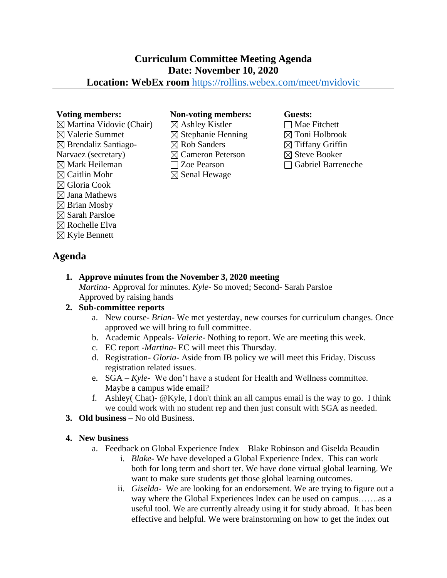# **Curriculum Committee Meeting Agenda Date: November 10, 2020**

## **Location: WebEx room** <https://rollins.webex.com/meet/mvidovic>

 $\boxtimes$  Martina Vidovic (Chair)  $\boxtimes$  Valerie Summet  $\boxtimes$  Brendaliz Santiago-Narvaez (secretary)  $\boxtimes$  Mark Heileman  $\boxtimes$  Caitlin Mohr Gloria Cook  $\boxtimes$  Jana Mathews  $\boxtimes$  Brian Mosby  $\boxtimes$  Sarah Parsloe  $\boxtimes$  Rochelle Elva  $\boxtimes$  Kyle Bennett

### **Voting members: Non-voting members: Guests:**

 $\boxtimes$  Ashley Kistler  $\boxtimes$  Stephanie Henning  $\boxtimes$  Rob Sanders Cameron Peterson Zoe Pearson  $\boxtimes$  Senal Hewage

 $\Box$  Mae Fitchett  $\boxtimes$  Toni Holbrook  $\boxtimes$  Tiffany Griffin  $\boxtimes$  Steve Booker Gabriel Barreneche

**Agenda**

## **1. Approve minutes from the November 3, 2020 meeting**

*Martina-* Approval for minutes. *Kyle-* So moved; Second- Sarah Parsloe Approved by raising hands

### **2. Sub-committee reports**

- a. New course- *Brian* We met yesterday, new courses for curriculum changes. Once approved we will bring to full committee.
- b. Academic Appeals- *Valerie-* Nothing to report. We are meeting this week.
- c. EC report -*Martina* EC will meet this Thursday.
- d. Registration- *Gloria-* Aside from IB policy we will meet this Friday. Discuss registration related issues.
- e. SGA *Kyle* We don't have a student for Health and Wellness committee. Maybe a campus wide email?
- f. Ashley( Chat)- @Kyle, I don't think an all campus email is the way to go. I think we could work with no student rep and then just consult with SGA as needed.
- **3. Old business –** No old Business.

### **4. New business**

- a. Feedback on Global Experience Index Blake Robinson and Giselda Beaudin
	- i. *Blake-* We have developed a Global Experience Index. This can work both for long term and short ter. We have done virtual global learning. We want to make sure students get those global learning outcomes.
	- ii. *Giselda-* We are looking for an endorsement. We are trying to figure out a way where the Global Experiences Index can be used on campus......as a useful tool. We are currently already using it for study abroad. It has been effective and helpful. We were brainstorming on how to get the index out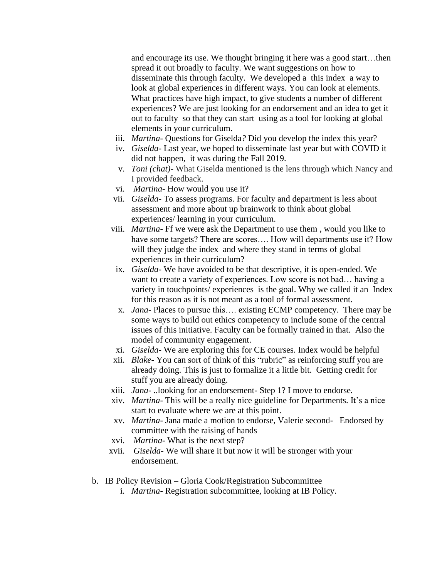and encourage its use. We thought bringing it here was a good start…then spread it out broadly to faculty. We want suggestions on how to disseminate this through faculty. We developed a this index a way to look at global experiences in different ways. You can look at elements. What practices have high impact, to give students a number of different experiences? We are just looking for an endorsement and an idea to get it out to faculty so that they can start using as a tool for looking at global elements in your curriculum.

- iii. *Martina-* Questions for Giselda*?* Did you develop the index this year?
- iv. *Giselda-* Last year, we hoped to disseminate last year but with COVID it did not happen, it was during the Fall 2019.
- v. *Toni (chat)-* What Giselda mentioned is the lens through which Nancy and I provided feedback.
- vi. *Martina-* How would you use it?
- vii. *Giselda-* To assess programs. For faculty and department is less about assessment and more about up brainwork to think about global experiences/ learning in your curriculum.
- viii. *Martina-* Ff we were ask the Department to use them , would you like to have some targets? There are scores…. How will departments use it? How will they judge the index and where they stand in terms of global experiences in their curriculum?
	- ix. *Giselda-* We have avoided to be that descriptive, it is open-ended. We want to create a variety of experiences. Low score is not bad… having a variety in touchpoints/ experiences is the goal. Why we called it an Index for this reason as it is not meant as a tool of formal assessment.
	- x. *Jana-* Places to pursue this…. existing ECMP competency. There may be some ways to build out ethics competency to include some of the central issues of this initiative. Faculty can be formally trained in that. Also the model of community engagement.
- xi. *Giselda-* We are exploring this for CE courses. Index would be helpful
- xii. *Blake-* You can sort of think of this "rubric" as reinforcing stuff you are already doing. This is just to formalize it a little bit. Getting credit for stuff you are already doing.
- xiii. *Jana-* ..looking for an endorsement- Step 1? I move to endorse*.*
- xiv. *Martina-* This will be a really nice guideline for Departments. It's a nice start to evaluate where we are at this point.
- xv. *Martina-* Jana made a motion to endorse, Valerie second- Endorsed by committee with the raising of hands
- xvi. *Martina-* What is the next step?
- xvii. *Giselda-* We will share it but now it will be stronger with your endorsement.
- b. IB Policy Revision Gloria Cook/Registration Subcommittee i. *Martina*- Registration subcommittee, looking at IB Policy.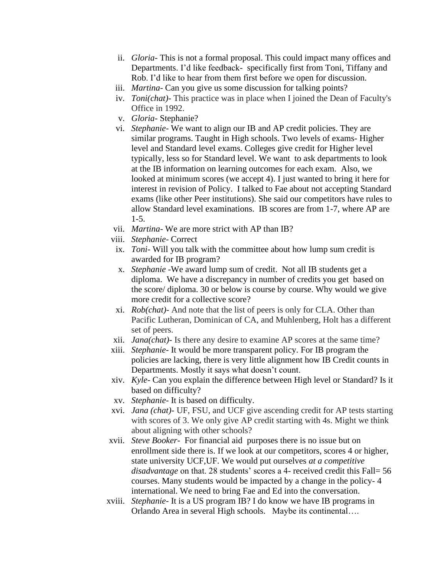- ii. *Gloria-* This is not a formal proposal. This could impact many offices and Departments. I'd like feedback- specifically first from Toni, Tiffany and Rob. I'd like to hear from them first before we open for discussion.
- iii. *Martina-* Can you give us some discussion for talking points?
- iv. *Toni(chat)-* This practice was in place when I joined the Dean of Faculty's Office in 1992.
- v. *Gloria-* Stephanie?
- vi. *Stephanie-* We want to align our IB and AP credit policies. They are similar programs. Taught in High schools. Two levels of exams- Higher level and Standard level exams. Colleges give credit for Higher level typically, less so for Standard level. We want to ask departments to look at the IB information on learning outcomes for each exam. Also, we looked at minimum scores (we accept 4). I just wanted to bring it here for interest in revision of Policy. I talked to Fae about not accepting Standard exams (like other Peer institutions). She said our competitors have rules to allow Standard level examinations. IB scores are from 1-7, where AP are 1-5.
- vii. *Martina-* We are more strict with AP than IB?
- viii. *Stephanie-* Correct
- ix. *Toni* Will you talk with the committee about how lump sum credit is awarded for IB program?
- x. *Stephanie* -We award lump sum of credit. Not all IB students get a diploma. We have a discrepancy in number of credits you get based on the score/ diploma. 30 or below is course by course. Why would we give more credit for a collective score?
- xi. *Rob(chat)* And note that the list of peers is only for CLA. Other than Pacific Lutheran, Dominican of CA, and Muhlenberg, Holt has a different set of peers.
- xii. *Jana(chat)-* Is there any desire to examine AP scores at the same time?
- xiii. *Stephanie-* It would be more transparent policy. For IB program the policies are lacking, there is very little alignment how IB Credit counts in Departments. Mostly it says what doesn't count.
- xiv. *Kyle-* Can you explain the difference between High level or Standard? Is it based on difficulty?
- xv. *Stephanie-* It is based on difficulty.
- xvi. *Jana (chat)-* UF, FSU, and UCF give ascending credit for AP tests starting with scores of 3. We only give AP credit starting with 4s. Might we think about aligning with other schools?
- xvii. *Steve Booker* For financial aid purposes there is no issue but on enrollment side there is. If we look at our competitors, scores 4 or higher, state university UCF,UF. We would put ourselves *at a competitive disadvantage* on that. 28 students' scores a 4- received credit this Fall= 56 courses. Many students would be impacted by a change in the policy- 4 international. We need to bring Fae and Ed into the conversation.
- xviii. *Stephanie-* It is a US program IB? I do know we have IB programs in Orlando Area in several High schools. Maybe its continental….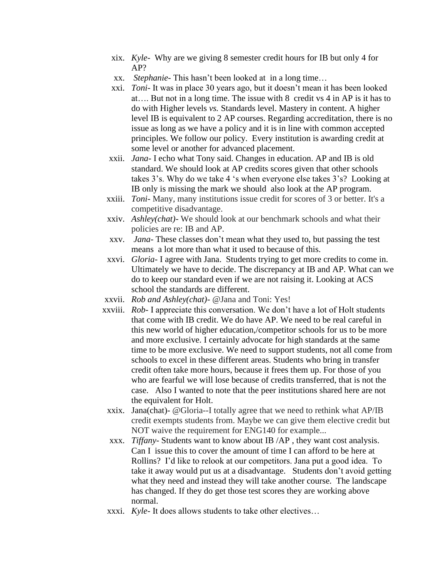- xix. *Kyle-* Why are we giving 8 semester credit hours for IB but only 4 for AP?
- xx. *Stephanie-* This hasn't been looked at in a long time…
- xxi. *Toni* It was in place 30 years ago, but it doesn't mean it has been looked at…. But not in a long time. The issue with 8 credit vs 4 in AP is it has to do with Higher levels *vs.* Standards level. Mastery in content. A higher level IB is equivalent to 2 AP courses. Regarding accreditation, there is no issue as long as we have a policy and it is in line with common accepted principles. We follow our policy. Every institution is awarding credit at some level or another for advanced placement.
- xxii. *Jana* I echo what Tony said. Changes in education. AP and IB is old standard. We should look at AP credits scores given that other schools takes 3's. Why do we take 4 's when everyone else takes 3's? Looking at IB only is missing the mark we should also look at the AP program.
- xxiii. *Toni* Many, many institutions issue credit for scores of 3 or better. It's a competitive disadvantage.
- xxiv. *Ashley(chat)-* We should look at our benchmark schools and what their policies are re: IB and AP.
- xxv. *Jana-* These classes don't mean what they used to, but passing the test means a lot more than what it used to because of this.
- xxvi. *Gloria-* I agree with Jana. Students trying to get more credits to come in. Ultimately we have to decide. The discrepancy at IB and AP. What can we do to keep our standard even if we are not raising it. Looking at ACS school the standards are different.
- xxvii. *Rob and Ashley(chat)-* @Jana and Toni: Yes!
- xxviii. *Rob* I appreciate this conversation. We don't have a lot of Holt students that come with IB credit. We do have AP. We need to be real careful in this new world of higher education,/competitor schools for us to be more and more exclusive. I certainly advocate for high standards at the same time to be more exclusive. We need to support students, not all come from schools to excel in these different areas. Students who bring in transfer credit often take more hours, because it frees them up. For those of you who are fearful we will lose because of credits transferred, that is not the case. Also I wanted to note that the peer institutions shared here are not the equivalent for Holt.
	- xxix. Jana(chat)- @Gloria--I totally agree that we need to rethink what AP/IB credit exempts students from. Maybe we can give them elective credit but NOT waive the requirement for ENG140 for example...
	- xxx. *Tiffany-* Students want to know about IB /AP , they want cost analysis. Can I issue this to cover the amount of time I can afford to be here at Rollins? I'd like to relook at our competitors. Jana put a good idea. To take it away would put us at a disadvantage. Students don't avoid getting what they need and instead they will take another course. The landscape has changed. If they do get those test scores they are working above normal.
	- xxxi. *Kyle-* It does allows students to take other electives…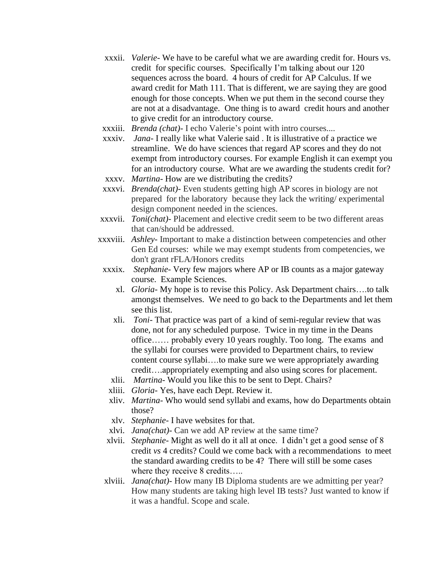- xxxii. *Valerie* We have to be careful what we are awarding credit for. Hours vs. credit for specific courses. Specifically I'm talking about our 120 sequences across the board. 4 hours of credit for AP Calculus. If we award credit for Math 111. That is different, we are saying they are good enough for those concepts. When we put them in the second course they are not at a disadvantage. One thing is to award credit hours and another to give credit for an introductory course.
- xxxiii. *Brenda (chat)* I echo Valerie's point with intro courses....
- xxxiv. *Jana* I really like what Valerie said . It is illustrative of a practice we streamline. We do have sciences that regard AP scores and they do not exempt from introductory courses. For example English it can exempt you for an introductory course. What are we awarding the students credit for?
- xxxv. *Martina* How are we distributing the credits?
- xxxvi. *Brenda(chat)* Even students getting high AP scores in biology are not prepared for the laboratory because they lack the writing/ experimental design component needed in the sciences.
- xxxvii. *Toni(chat)* Placement and elective credit seem to be two different areas that can/should be addressed.
- xxxviii. *Ashley-* Important to make a distinction between competencies and other Gen Ed courses: while we may exempt students from competencies, we don't grant rFLA/Honors credits
- xxxix. *Stephanie-* Very few majors where AP or IB counts as a major gateway course. Example Sciences.
	- xl. *Gloria-* My hope is to revise this Policy. Ask Department chairs….to talk amongst themselves. We need to go back to the Departments and let them see this list.
	- xli. *Toni-* That practice was part of a kind of semi-regular review that was done, not for any scheduled purpose. Twice in my time in the Deans office…… probably every 10 years roughly. Too long. The exams and the syllabi for courses were provided to Department chairs, to review content course syllabi….to make sure we were appropriately awarding credit….appropriately exempting and also using scores for placement.
	- xlii. *Martina-* Would you like this to be sent to Dept. Chairs?
	- xliii. *Gloria-* Yes, have each Dept. Review it.
	- xliv. *Martina-* Who would send syllabi and exams, how do Departments obtain those?
	- xlv. *Stephanie-* I have websites for that.
	- xlvi. *Jana(chat)-* Can we add AP review at the same time?
- xlvii. *Stephanie-* Might as well do it all at once. I didn't get a good sense of 8 credit *vs* 4 credits? Could we come back with a recommendations to meet the standard awarding credits to be 4? There will still be some cases where they receive 8 credits.....
- xlviii. *Jana(chat)-* How many IB Diploma students are we admitting per year? How many students are taking high level IB tests? Just wanted to know if it was a handful. Scope and scale.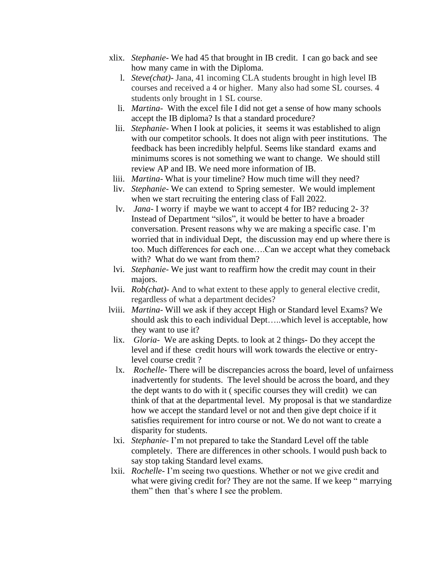- xlix. *Stephanie-* We had 45 that brought in IB credit. I can go back and see how many came in with the Diploma.
	- l. *Steve(chat)-* Jana, 41 incoming CLA students brought in high level IB courses and received a 4 or higher. Many also had some SL courses. 4 students only brought in 1 SL course.
	- li. *Martina-* With the excel file I did not get a sense of how many schools accept the IB diploma? Is that a standard procedure?
	- lii. *Stephanie-* When I look at policies, it seems it was established to align with our competitor schools. It does not align with peer institutions. The feedback has been incredibly helpful. Seems like standard exams and minimums scores is not something we want to change. We should still review AP and IB. We need more information of IB.
- liii. *Martina-* What is your timeline? How much time will they need?
- liv. *Stephanie-* We can extend to Spring semester. We would implement when we start recruiting the entering class of Fall 2022.
- lv. *Jana-* I worry if maybe we want to accept 4 for IB? reducing 2- 3? Instead of Department "silos", it would be better to have a broader conversation. Present reasons why we are making a specific case. I'm worried that in individual Dept, the discussion may end up where there is too. Much differences for each one….Can we accept what they comeback with? What do we want from them?
- lvi. *Stephanie-* We just want to reaffirm how the credit may count in their majors.
- lvii. *Rob(chat)-* And to what extent to these apply to general elective credit, regardless of what a department decides?
- lviii. *Martina-* Will we ask if they accept High or Standard level Exams? We should ask this to each individual Dept…..which level is acceptable, how they want to use it?
	- lix. *Gloria-* We are asking Depts. to look at 2 things- Do they accept the level and if these credit hours will work towards the elective or entrylevel course credit ?
	- lx. *Rochelle-* There will be discrepancies across the board, level of unfairness inadvertently for students. The level should be across the board, and they the dept wants to do with it ( specific courses they will credit) we can think of that at the departmental level. My proposal is that we standardize how we accept the standard level or not and then give dept choice if it satisfies requirement for intro course or not. We do not want to create a disparity for students.
- lxi. *Stephanie-* I'm not prepared to take the Standard Level off the table completely. There are differences in other schools. I would push back to say stop taking Standard level exams.
- lxii. *Rochelle-* I'm seeing two questions. Whether or not we give credit and what were giving credit for? They are not the same. If we keep "marrying them" then that's where I see the problem.